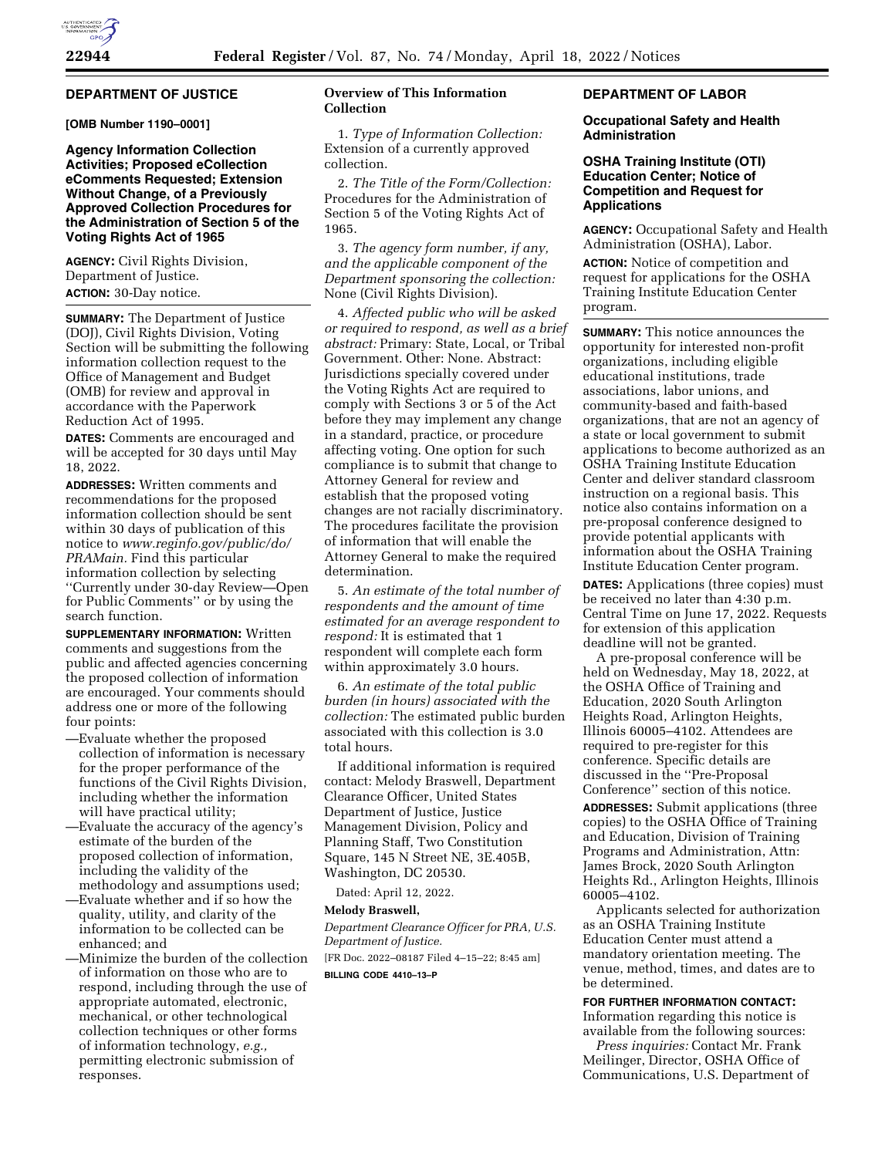# **DEPARTMENT OF JUSTICE**

**[OMB Number 1190–0001]** 

# **Agency Information Collection Activities; Proposed eCollection eComments Requested; Extension Without Change, of a Previously Approved Collection Procedures for the Administration of Section 5 of the Voting Rights Act of 1965**

**AGENCY:** Civil Rights Division, Department of Justice. **ACTION:** 30-Day notice.

**SUMMARY:** The Department of Justice (DOJ), Civil Rights Division, Voting Section will be submitting the following information collection request to the Office of Management and Budget (OMB) for review and approval in accordance with the Paperwork Reduction Act of 1995.

**DATES:** Comments are encouraged and will be accepted for 30 days until May 18, 2022.

**ADDRESSES:** Written comments and recommendations for the proposed information collection should be sent within 30 days of publication of this notice to *[www.reginfo.gov/public/do/](http://www.reginfo.gov/public/do/PRAMain) [PRAMain.](http://www.reginfo.gov/public/do/PRAMain)* Find this particular information collection by selecting ''Currently under 30-day Review—Open for Public Comments'' or by using the search function.

**SUPPLEMENTARY INFORMATION:** Written comments and suggestions from the public and affected agencies concerning the proposed collection of information are encouraged. Your comments should address one or more of the following four points:

- —Evaluate whether the proposed collection of information is necessary for the proper performance of the functions of the Civil Rights Division, including whether the information will have practical utility;
- —Evaluate the accuracy of the agency's estimate of the burden of the proposed collection of information, including the validity of the methodology and assumptions used;
- —Evaluate whether and if so how the quality, utility, and clarity of the information to be collected can be enhanced; and

—Minimize the burden of the collection of information on those who are to respond, including through the use of appropriate automated, electronic, mechanical, or other technological collection techniques or other forms of information technology, *e.g.,*  permitting electronic submission of responses.

# **Overview of This Information Collection**

1. *Type of Information Collection:*  Extension of a currently approved collection.

2. *The Title of the Form/Collection:*  Procedures for the Administration of Section 5 of the Voting Rights Act of 1965.

3. *The agency form number, if any, and the applicable component of the Department sponsoring the collection:*  None (Civil Rights Division).

4. *Affected public who will be asked or required to respond, as well as a brief abstract:* Primary: State, Local, or Tribal Government. Other: None. Abstract: Jurisdictions specially covered under the Voting Rights Act are required to comply with Sections 3 or 5 of the Act before they may implement any change in a standard, practice, or procedure affecting voting. One option for such compliance is to submit that change to Attorney General for review and establish that the proposed voting changes are not racially discriminatory. The procedures facilitate the provision of information that will enable the Attorney General to make the required determination.

5. *An estimate of the total number of respondents and the amount of time estimated for an average respondent to respond:* It is estimated that 1 respondent will complete each form within approximately 3.0 hours.

6. *An estimate of the total public burden (in hours) associated with the collection:* The estimated public burden associated with this collection is 3.0 total hours.

If additional information is required contact: Melody Braswell, Department Clearance Officer, United States Department of Justice, Justice Management Division, Policy and Planning Staff, Two Constitution Square, 145 N Street NE, 3E.405B, Washington, DC 20530.

Dated: April 12, 2022.

#### **Melody Braswell,**

*Department Clearance Officer for PRA, U.S. Department of Justice.*  [FR Doc. 2022–08187 Filed 4–15–22; 8:45 am]

**BILLING CODE 4410–13–P** 

# **DEPARTMENT OF LABOR**

#### **Occupational Safety and Health Administration**

# **OSHA Training Institute (OTI) Education Center; Notice of Competition and Request for Applications**

**AGENCY:** Occupational Safety and Health Administration (OSHA), Labor.

**ACTION:** Notice of competition and request for applications for the OSHA Training Institute Education Center program.

**SUMMARY:** This notice announces the opportunity for interested non-profit organizations, including eligible educational institutions, trade associations, labor unions, and community-based and faith-based organizations, that are not an agency of a state or local government to submit applications to become authorized as an OSHA Training Institute Education Center and deliver standard classroom instruction on a regional basis. This notice also contains information on a pre-proposal conference designed to provide potential applicants with information about the OSHA Training Institute Education Center program.

**DATES:** Applications (three copies) must be received no later than 4:30 p.m. Central Time on June 17, 2022. Requests for extension of this application deadline will not be granted.

A pre-proposal conference will be held on Wednesday, May 18, 2022, at the OSHA Office of Training and Education, 2020 South Arlington Heights Road, Arlington Heights, Illinois 60005–4102. Attendees are required to pre-register for this conference. Specific details are discussed in the ''Pre-Proposal Conference'' section of this notice.

**ADDRESSES:** Submit applications (three copies) to the OSHA Office of Training and Education, Division of Training Programs and Administration, Attn: James Brock, 2020 South Arlington Heights Rd., Arlington Heights, Illinois 60005–4102.

Applicants selected for authorization as an OSHA Training Institute Education Center must attend a mandatory orientation meeting. The venue, method, times, and dates are to be determined.

#### **FOR FURTHER INFORMATION CONTACT:**

Information regarding this notice is available from the following sources:

*Press inquiries:* Contact Mr. Frank Meilinger, Director, OSHA Office of Communications, U.S. Department of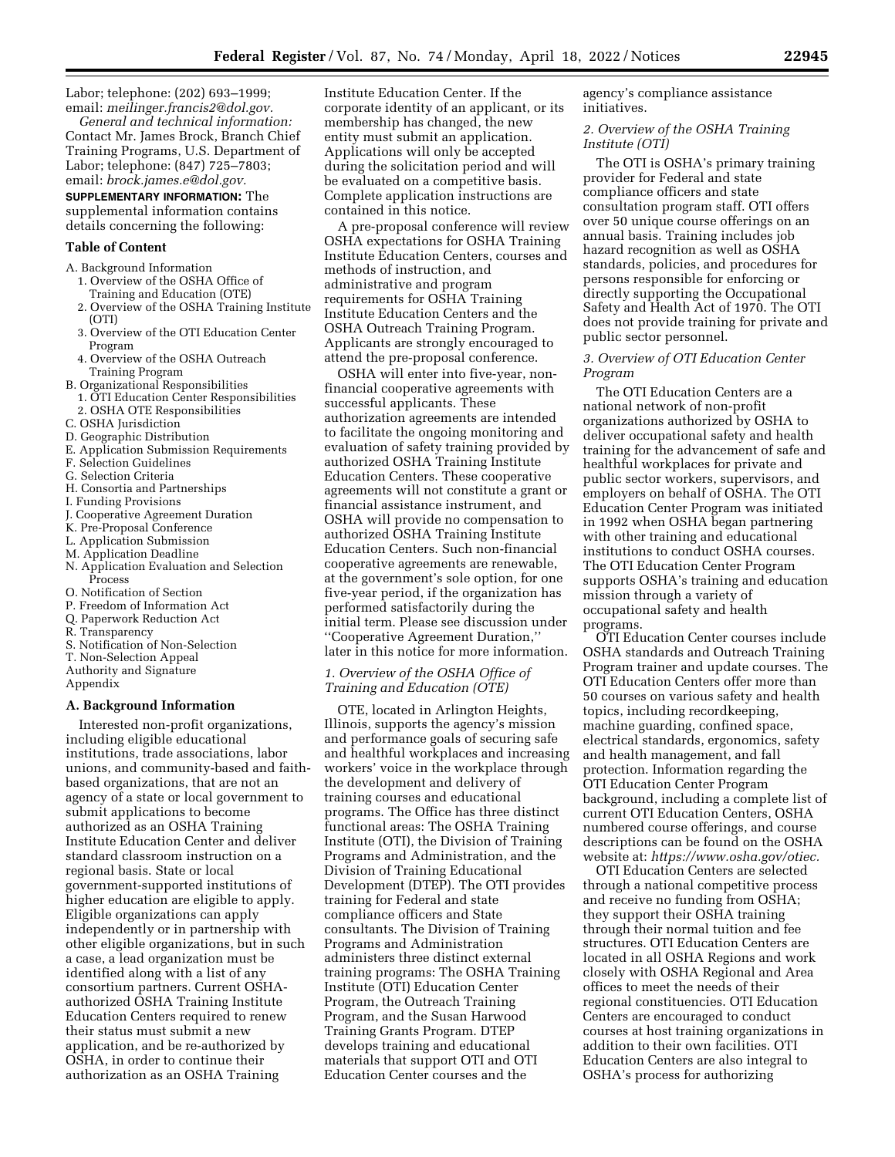Labor; telephone: (202) 693–1999; email: *[meilinger.francis2@dol.gov.](mailto:meilinger.francis2@dol.gov)* 

*General and technical information:*  Contact Mr. James Brock, Branch Chief Training Programs, U.S. Department of Labor; telephone: (847) 725–7803; email: *[brock.james.e@dol.gov.](mailto:brock.james.e@dol.gov)* 

# **SUPPLEMENTARY INFORMATION:** The

supplemental information contains details concerning the following:

# **Table of Content**

- A. Background Information
	- 1. Overview of the OSHA Office of Training and Education (OTE)
	- 2. Overview of the OSHA Training Institute (OTI)
	- 3. Overview of the OTI Education Center Program
	- 4. Overview of the OSHA Outreach Training Program
- B. Organizational Responsibilities
- 1. OTI Education Center Responsibilities 2. OSHA OTE Responsibilities
- C. OSHA Jurisdiction
- D. Geographic Distribution
- E. Application Submission Requirements
- F. Selection Guidelines
- G. Selection Criteria
- H. Consortia and Partnerships
- I. Funding Provisions
- J. Cooperative Agreement Duration
- K. Pre-Proposal Conference
- L. Application Submission
- M. Application Deadline
- N. Application Evaluation and Selection Process
- O. Notification of Section
- P. Freedom of Information Act
- Q. Paperwork Reduction Act
- R. Transparency
- S. Notification of Non-Selection
- T. Non-Selection Appeal
- Authority and Signature
- Appendix

### **A. Background Information**

Interested non-profit organizations, including eligible educational institutions, trade associations, labor unions, and community-based and faithbased organizations, that are not an agency of a state or local government to submit applications to become authorized as an OSHA Training Institute Education Center and deliver standard classroom instruction on a regional basis. State or local government-supported institutions of higher education are eligible to apply. Eligible organizations can apply independently or in partnership with other eligible organizations, but in such a case, a lead organization must be identified along with a list of any consortium partners. Current OSHAauthorized OSHA Training Institute Education Centers required to renew their status must submit a new application, and be re-authorized by OSHA, in order to continue their authorization as an OSHA Training

Institute Education Center. If the corporate identity of an applicant, or its membership has changed, the new entity must submit an application. Applications will only be accepted during the solicitation period and will be evaluated on a competitive basis. Complete application instructions are contained in this notice.

A pre-proposal conference will review OSHA expectations for OSHA Training Institute Education Centers, courses and methods of instruction, and administrative and program requirements for OSHA Training Institute Education Centers and the OSHA Outreach Training Program. Applicants are strongly encouraged to attend the pre-proposal conference.

OSHA will enter into five-year, nonfinancial cooperative agreements with successful applicants. These authorization agreements are intended to facilitate the ongoing monitoring and evaluation of safety training provided by authorized OSHA Training Institute Education Centers. These cooperative agreements will not constitute a grant or financial assistance instrument, and OSHA will provide no compensation to authorized OSHA Training Institute Education Centers. Such non-financial cooperative agreements are renewable, at the government's sole option, for one five-year period, if the organization has performed satisfactorily during the initial term. Please see discussion under ''Cooperative Agreement Duration,'' later in this notice for more information.

# *1. Overview of the OSHA Office of Training and Education (OTE)*

OTE, located in Arlington Heights, Illinois, supports the agency's mission and performance goals of securing safe and healthful workplaces and increasing workers' voice in the workplace through the development and delivery of training courses and educational programs. The Office has three distinct functional areas: The OSHA Training Institute (OTI), the Division of Training Programs and Administration, and the Division of Training Educational Development (DTEP). The OTI provides training for Federal and state compliance officers and State consultants. The Division of Training Programs and Administration administers three distinct external training programs: The OSHA Training Institute (OTI) Education Center Program, the Outreach Training Program, and the Susan Harwood Training Grants Program. DTEP develops training and educational materials that support OTI and OTI Education Center courses and the

agency's compliance assistance initiatives.

## *2. Overview of the OSHA Training Institute (OTI)*

The OTI is OSHA's primary training provider for Federal and state compliance officers and state consultation program staff. OTI offers over 50 unique course offerings on an annual basis. Training includes job hazard recognition as well as OSHA standards, policies, and procedures for persons responsible for enforcing or directly supporting the Occupational Safety and Health Act of 1970. The OTI does not provide training for private and public sector personnel.

### *3. Overview of OTI Education Center Program*

The OTI Education Centers are a national network of non-profit organizations authorized by OSHA to deliver occupational safety and health training for the advancement of safe and healthful workplaces for private and public sector workers, supervisors, and employers on behalf of OSHA. The OTI Education Center Program was initiated in 1992 when OSHA began partnering with other training and educational institutions to conduct OSHA courses. The OTI Education Center Program supports OSHA's training and education mission through a variety of occupational safety and health programs.

OTI Education Center courses include OSHA standards and Outreach Training Program trainer and update courses. The OTI Education Centers offer more than 50 courses on various safety and health topics, including recordkeeping, machine guarding, confined space, electrical standards, ergonomics, safety and health management, and fall protection. Information regarding the OTI Education Center Program background, including a complete list of current OTI Education Centers, OSHA numbered course offerings, and course descriptions can be found on the OSHA website at: *[https://www.osha.gov/otiec.](https://www.osha.gov/otiec)* 

OTI Education Centers are selected through a national competitive process and receive no funding from OSHA; they support their OSHA training through their normal tuition and fee structures. OTI Education Centers are located in all OSHA Regions and work closely with OSHA Regional and Area offices to meet the needs of their regional constituencies. OTI Education Centers are encouraged to conduct courses at host training organizations in addition to their own facilities. OTI Education Centers are also integral to OSHA's process for authorizing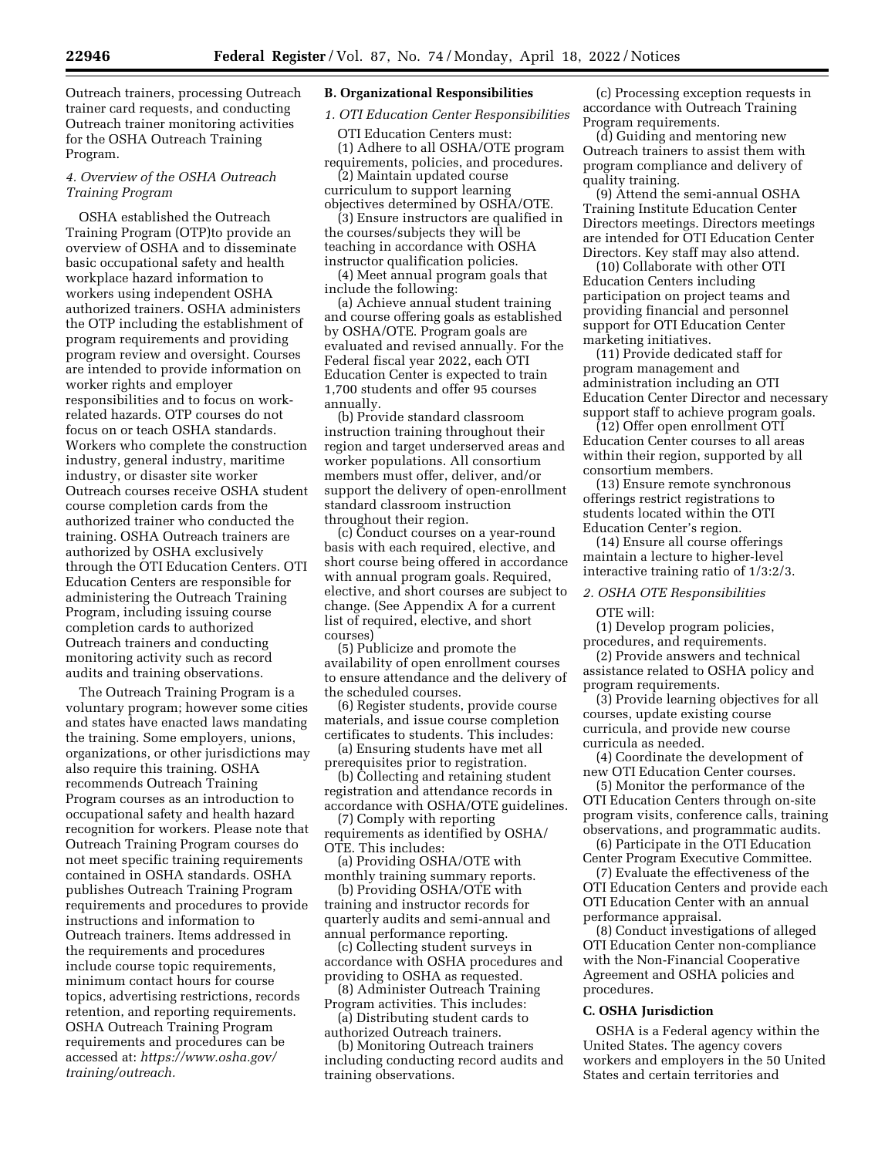Outreach trainers, processing Outreach trainer card requests, and conducting Outreach trainer monitoring activities for the OSHA Outreach Training Program.

# *4. Overview of the OSHA Outreach Training Program*

OSHA established the Outreach Training Program (OTP)to provide an overview of OSHA and to disseminate basic occupational safety and health workplace hazard information to workers using independent OSHA authorized trainers. OSHA administers the OTP including the establishment of program requirements and providing program review and oversight. Courses are intended to provide information on worker rights and employer responsibilities and to focus on workrelated hazards. OTP courses do not focus on or teach OSHA standards. Workers who complete the construction industry, general industry, maritime industry, or disaster site worker Outreach courses receive OSHA student course completion cards from the authorized trainer who conducted the training. OSHA Outreach trainers are authorized by OSHA exclusively through the OTI Education Centers. OTI Education Centers are responsible for administering the Outreach Training Program, including issuing course completion cards to authorized Outreach trainers and conducting monitoring activity such as record audits and training observations.

The Outreach Training Program is a voluntary program; however some cities and states have enacted laws mandating the training. Some employers, unions, organizations, or other jurisdictions may also require this training. OSHA recommends Outreach Training Program courses as an introduction to occupational safety and health hazard recognition for workers. Please note that Outreach Training Program courses do not meet specific training requirements contained in OSHA standards. OSHA publishes Outreach Training Program requirements and procedures to provide instructions and information to Outreach trainers. Items addressed in the requirements and procedures include course topic requirements, minimum contact hours for course topics, advertising restrictions, records retention, and reporting requirements. OSHA Outreach Training Program requirements and procedures can be accessed at: *[https://www.osha.gov/](https://www.osha.gov/training/outreach) [training/outreach.](https://www.osha.gov/training/outreach)* 

# **B. Organizational Responsibilities**

# *1. OTI Education Center Responsibilities*

OTI Education Centers must: (1) Adhere to all OSHA/OTE program requirements, policies, and procedures.

(2) Maintain updated course curriculum to support learning objectives determined by OSHA/OTE.

(3) Ensure instructors are qualified in the courses/subjects they will be teaching in accordance with OSHA instructor qualification policies.

(4) Meet annual program goals that include the following:

(a) Achieve annual student training and course offering goals as established by OSHA/OTE. Program goals are evaluated and revised annually. For the Federal fiscal year 2022, each OTI Education Center is expected to train 1,700 students and offer 95 courses annually.

(b) Provide standard classroom instruction training throughout their region and target underserved areas and worker populations. All consortium members must offer, deliver, and/or support the delivery of open-enrollment standard classroom instruction throughout their region.

(c) Conduct courses on a year-round basis with each required, elective, and short course being offered in accordance with annual program goals. Required, elective, and short courses are subject to change. (See Appendix A for a current list of required, elective, and short courses)

(5) Publicize and promote the availability of open enrollment courses to ensure attendance and the delivery of the scheduled courses.

(6) Register students, provide course materials, and issue course completion certificates to students. This includes:

(a) Ensuring students have met all prerequisites prior to registration.

(b) Collecting and retaining student registration and attendance records in accordance with OSHA/OTE guidelines.

(7) Comply with reporting requirements as identified by OSHA/ OTE. This includes:

(a) Providing OSHA/OTE with monthly training summary reports.

(b) Providing OSHA/OTE with training and instructor records for quarterly audits and semi-annual and annual performance reporting.

(c) Collecting student surveys in accordance with OSHA procedures and providing to OSHA as requested.

(8) Administer Outreach Training Program activities. This includes: (a) Distributing student cards to

authorized Outreach trainers.

(b) Monitoring Outreach trainers including conducting record audits and training observations.

(c) Processing exception requests in accordance with Outreach Training Program requirements.

(d) Guiding and mentoring new Outreach trainers to assist them with program compliance and delivery of quality training.

(9) Attend the semi-annual OSHA Training Institute Education Center Directors meetings. Directors meetings are intended for OTI Education Center Directors. Key staff may also attend.

(10) Collaborate with other OTI Education Centers including participation on project teams and providing financial and personnel support for OTI Education Center marketing initiatives.

(11) Provide dedicated staff for program management and administration including an OTI Education Center Director and necessary support staff to achieve program goals.

(12) Offer open enrollment OTI Education Center courses to all areas within their region, supported by all consortium members.

(13) Ensure remote synchronous offerings restrict registrations to students located within the OTI Education Center's region.

(14) Ensure all course offerings maintain a lecture to higher-level interactive training ratio of 1/3:2/3.

### *2. OSHA OTE Responsibilities*

OTE will:

(1) Develop program policies, procedures, and requirements.

(2) Provide answers and technical assistance related to OSHA policy and program requirements.

(3) Provide learning objectives for all courses, update existing course curricula, and provide new course curricula as needed.

(4) Coordinate the development of new OTI Education Center courses.

(5) Monitor the performance of the OTI Education Centers through on-site program visits, conference calls, training observations, and programmatic audits.

(6) Participate in the OTI Education Center Program Executive Committee.

(7) Evaluate the effectiveness of the OTI Education Centers and provide each OTI Education Center with an annual performance appraisal.

(8) Conduct investigations of alleged OTI Education Center non-compliance with the Non-Financial Cooperative Agreement and OSHA policies and procedures.

#### **C. OSHA Jurisdiction**

OSHA is a Federal agency within the United States. The agency covers workers and employers in the 50 United States and certain territories and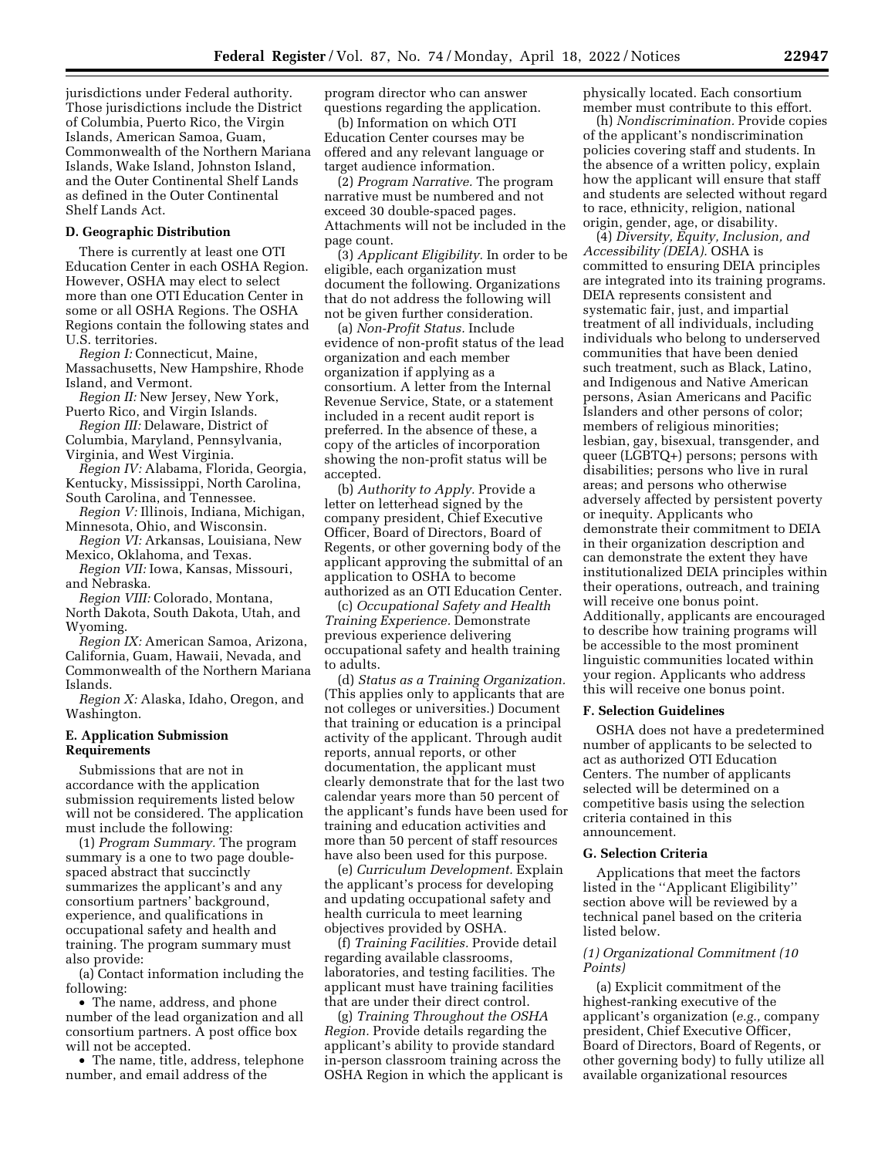jurisdictions under Federal authority. Those jurisdictions include the District of Columbia, Puerto Rico, the Virgin Islands, American Samoa, Guam, Commonwealth of the Northern Mariana Islands, Wake Island, Johnston Island, and the Outer Continental Shelf Lands as defined in the Outer Continental Shelf Lands Act.

### **D. Geographic Distribution**

There is currently at least one OTI Education Center in each OSHA Region. However, OSHA may elect to select more than one OTI Education Center in some or all OSHA Regions. The OSHA Regions contain the following states and U.S. territories.

*Region I:* Connecticut, Maine, Massachusetts, New Hampshire, Rhode Island, and Vermont.

*Region II:* New Jersey, New York, Puerto Rico, and Virgin Islands.

*Region III:* Delaware, District of Columbia, Maryland, Pennsylvania,

Virginia, and West Virginia. *Region IV:* Alabama, Florida, Georgia,

Kentucky, Mississippi, North Carolina, South Carolina, and Tennessee.

*Region V:* Illinois, Indiana, Michigan, Minnesota, Ohio, and Wisconsin.

*Region VI:* Arkansas, Louisiana, New Mexico, Oklahoma, and Texas.

*Region VII:* Iowa, Kansas, Missouri, and Nebraska.

*Region VIII:* Colorado, Montana,

North Dakota, South Dakota, Utah, and Wyoming.

*Region IX:* American Samoa, Arizona, California, Guam, Hawaii, Nevada, and Commonwealth of the Northern Mariana Islands.

*Region X:* Alaska, Idaho, Oregon, and Washington.

#### **E. Application Submission Requirements**

Submissions that are not in accordance with the application submission requirements listed below will not be considered. The application must include the following:

(1) *Program Summary.* The program summary is a one to two page doublespaced abstract that succinctly summarizes the applicant's and any consortium partners' background, experience, and qualifications in occupational safety and health and training. The program summary must also provide:

(a) Contact information including the following:

• The name, address, and phone number of the lead organization and all consortium partners. A post office box will not be accepted.

• The name, title, address, telephone number, and email address of the

program director who can answer questions regarding the application.

(b) Information on which OTI Education Center courses may be offered and any relevant language or target audience information.

(2) *Program Narrative.* The program narrative must be numbered and not exceed 30 double-spaced pages. Attachments will not be included in the page count.

(3) *Applicant Eligibility.* In order to be eligible, each organization must document the following. Organizations that do not address the following will not be given further consideration.

(a) *Non-Profit Status.* Include evidence of non-profit status of the lead organization and each member organization if applying as a consortium. A letter from the Internal Revenue Service, State, or a statement included in a recent audit report is preferred. In the absence of these, a copy of the articles of incorporation showing the non-profit status will be accepted.

(b) *Authority to Apply.* Provide a letter on letterhead signed by the company president, Chief Executive Officer, Board of Directors, Board of Regents, or other governing body of the applicant approving the submittal of an application to OSHA to become authorized as an OTI Education Center.

(c) *Occupational Safety and Health Training Experience.* Demonstrate previous experience delivering occupational safety and health training to adults.

(d) *Status as a Training Organization.*  (This applies only to applicants that are not colleges or universities.) Document that training or education is a principal activity of the applicant. Through audit reports, annual reports, or other documentation, the applicant must clearly demonstrate that for the last two calendar years more than 50 percent of the applicant's funds have been used for training and education activities and more than 50 percent of staff resources have also been used for this purpose.

(e) *Curriculum Development.* Explain the applicant's process for developing and updating occupational safety and health curricula to meet learning objectives provided by OSHA.

(f) *Training Facilities.* Provide detail regarding available classrooms, laboratories, and testing facilities. The applicant must have training facilities that are under their direct control.

(g) *Training Throughout the OSHA Region.* Provide details regarding the applicant's ability to provide standard in-person classroom training across the OSHA Region in which the applicant is physically located. Each consortium member must contribute to this effort.

(h) *Nondiscrimination.* Provide copies of the applicant's nondiscrimination policies covering staff and students. In the absence of a written policy, explain how the applicant will ensure that staff and students are selected without regard to race, ethnicity, religion, national origin, gender, age, or disability.

(4) *Diversity, Equity, Inclusion, and Accessibility (DEIA).* OSHA is committed to ensuring DEIA principles are integrated into its training programs. DEIA represents consistent and systematic fair, just, and impartial treatment of all individuals, including individuals who belong to underserved communities that have been denied such treatment, such as Black, Latino, and Indigenous and Native American persons, Asian Americans and Pacific Islanders and other persons of color; members of religious minorities; lesbian, gay, bisexual, transgender, and queer (LGBTQ+) persons; persons with disabilities; persons who live in rural areas; and persons who otherwise adversely affected by persistent poverty or inequity. Applicants who demonstrate their commitment to DEIA in their organization description and can demonstrate the extent they have institutionalized DEIA principles within their operations, outreach, and training will receive one bonus point. Additionally, applicants are encouraged to describe how training programs will be accessible to the most prominent linguistic communities located within your region. Applicants who address this will receive one bonus point.

#### **F. Selection Guidelines**

OSHA does not have a predetermined number of applicants to be selected to act as authorized OTI Education Centers. The number of applicants selected will be determined on a competitive basis using the selection criteria contained in this announcement.

#### **G. Selection Criteria**

Applications that meet the factors listed in the ''Applicant Eligibility'' section above will be reviewed by a technical panel based on the criteria listed below.

# *(1) Organizational Commitment (10 Points)*

(a) Explicit commitment of the highest-ranking executive of the applicant's organization (*e.g.,* company president, Chief Executive Officer, Board of Directors, Board of Regents, or other governing body) to fully utilize all available organizational resources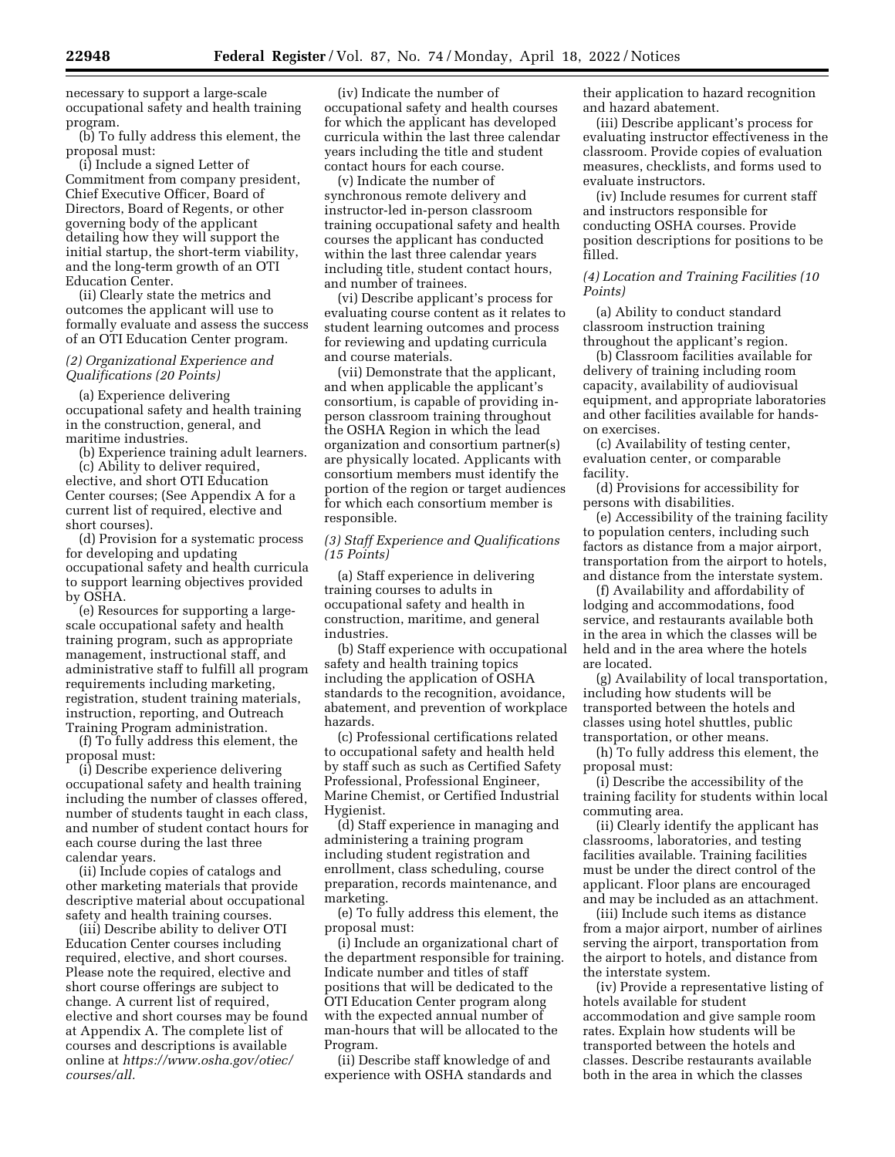necessary to support a large-scale occupational safety and health training program.

(b) To fully address this element, the proposal must:

(i) Include a signed Letter of Commitment from company president, Chief Executive Officer, Board of Directors, Board of Regents, or other governing body of the applicant detailing how they will support the initial startup, the short-term viability, and the long-term growth of an OTI Education Center.

(ii) Clearly state the metrics and outcomes the applicant will use to formally evaluate and assess the success of an OTI Education Center program.

# *(2) Organizational Experience and Qualifications (20 Points)*

(a) Experience delivering occupational safety and health training in the construction, general, and maritime industries.

(b) Experience training adult learners.

(c) Ability to deliver required, elective, and short OTI Education Center courses; (See Appendix A for a current list of required, elective and short courses).

(d) Provision for a systematic process for developing and updating occupational safety and health curricula to support learning objectives provided by OSHA.

(e) Resources for supporting a largescale occupational safety and health training program, such as appropriate management, instructional staff, and administrative staff to fulfill all program requirements including marketing, registration, student training materials, instruction, reporting, and Outreach Training Program administration.

(f) To fully address this element, the proposal must:

(i) Describe experience delivering occupational safety and health training including the number of classes offered, number of students taught in each class, and number of student contact hours for each course during the last three calendar years.

(ii) Include copies of catalogs and other marketing materials that provide descriptive material about occupational safety and health training courses.

(iii) Describe ability to deliver OTI Education Center courses including required, elective, and short courses. Please note the required, elective and short course offerings are subject to change. A current list of required, elective and short courses may be found at Appendix A. The complete list of courses and descriptions is available online at *[https://www.osha.gov/otiec/](https://www.osha.gov/otiec/courses/all) [courses/all.](https://www.osha.gov/otiec/courses/all)* 

(iv) Indicate the number of occupational safety and health courses for which the applicant has developed curricula within the last three calendar years including the title and student contact hours for each course.

(v) Indicate the number of synchronous remote delivery and instructor-led in-person classroom training occupational safety and health courses the applicant has conducted within the last three calendar years including title, student contact hours, and number of trainees.

(vi) Describe applicant's process for evaluating course content as it relates to student learning outcomes and process for reviewing and updating curricula and course materials.

(vii) Demonstrate that the applicant, and when applicable the applicant's consortium, is capable of providing inperson classroom training throughout the OSHA Region in which the lead organization and consortium partner(s) are physically located. Applicants with consortium members must identify the portion of the region or target audiences for which each consortium member is responsible.

# *(3) Staff Experience and Qualifications (15 Points)*

(a) Staff experience in delivering training courses to adults in occupational safety and health in construction, maritime, and general industries.

(b) Staff experience with occupational safety and health training topics including the application of OSHA standards to the recognition, avoidance, abatement, and prevention of workplace hazards.

(c) Professional certifications related to occupational safety and health held by staff such as such as Certified Safety Professional, Professional Engineer, Marine Chemist, or Certified Industrial Hygienist.

(d) Staff experience in managing and administering a training program including student registration and enrollment, class scheduling, course preparation, records maintenance, and marketing.

(e) To fully address this element, the proposal must:

(i) Include an organizational chart of the department responsible for training. Indicate number and titles of staff positions that will be dedicated to the OTI Education Center program along with the expected annual number of man-hours that will be allocated to the Program.

(ii) Describe staff knowledge of and experience with OSHA standards and their application to hazard recognition and hazard abatement.

(iii) Describe applicant's process for evaluating instructor effectiveness in the classroom. Provide copies of evaluation measures, checklists, and forms used to evaluate instructors.

(iv) Include resumes for current staff and instructors responsible for conducting OSHA courses. Provide position descriptions for positions to be filled.

*(4) Location and Training Facilities (10 Points)* 

(a) Ability to conduct standard classroom instruction training throughout the applicant's region.

(b) Classroom facilities available for delivery of training including room capacity, availability of audiovisual equipment, and appropriate laboratories and other facilities available for handson exercises.

(c) Availability of testing center, evaluation center, or comparable facility.

(d) Provisions for accessibility for persons with disabilities.

(e) Accessibility of the training facility to population centers, including such factors as distance from a major airport, transportation from the airport to hotels, and distance from the interstate system.

(f) Availability and affordability of lodging and accommodations, food service, and restaurants available both in the area in which the classes will be held and in the area where the hotels are located.

(g) Availability of local transportation, including how students will be transported between the hotels and classes using hotel shuttles, public transportation, or other means.

(h) To fully address this element, the proposal must:

(i) Describe the accessibility of the training facility for students within local commuting area.

(ii) Clearly identify the applicant has classrooms, laboratories, and testing facilities available. Training facilities must be under the direct control of the applicant. Floor plans are encouraged and may be included as an attachment.

(iii) Include such items as distance from a major airport, number of airlines serving the airport, transportation from the airport to hotels, and distance from the interstate system.

(iv) Provide a representative listing of hotels available for student accommodation and give sample room rates. Explain how students will be transported between the hotels and classes. Describe restaurants available both in the area in which the classes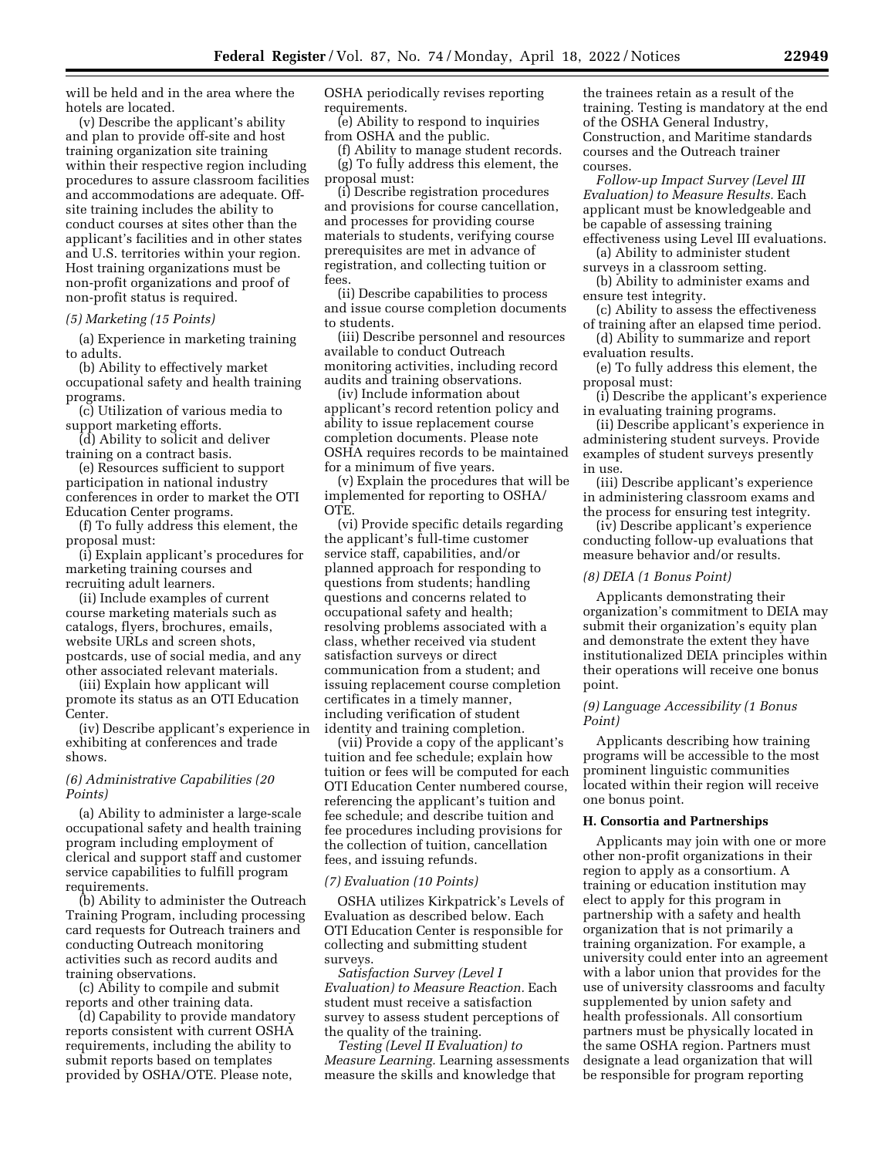will be held and in the area where the hotels are located.

(v) Describe the applicant's ability and plan to provide off-site and host training organization site training within their respective region including procedures to assure classroom facilities and accommodations are adequate. Offsite training includes the ability to conduct courses at sites other than the applicant's facilities and in other states and U.S. territories within your region. Host training organizations must be non-profit organizations and proof of non-profit status is required.

# *(5) Marketing (15 Points)*

(a) Experience in marketing training to adults.

(b) Ability to effectively market occupational safety and health training programs.

(c) Utilization of various media to support marketing efforts.

(d) Ability to solicit and deliver training on a contract basis.

(e) Resources sufficient to support participation in national industry conferences in order to market the OTI Education Center programs.

(f) To fully address this element, the proposal must:

(i) Explain applicant's procedures for marketing training courses and recruiting adult learners.

(ii) Include examples of current course marketing materials such as catalogs, flyers, brochures, emails, website URLs and screen shots, postcards, use of social media, and any other associated relevant materials.

(iii) Explain how applicant will promote its status as an OTI Education Center.

(iv) Describe applicant's experience in exhibiting at conferences and trade shows.

# *(6) Administrative Capabilities (20 Points)*

(a) Ability to administer a large-scale occupational safety and health training program including employment of clerical and support staff and customer service capabilities to fulfill program requirements.

(b) Ability to administer the Outreach Training Program, including processing card requests for Outreach trainers and conducting Outreach monitoring activities such as record audits and training observations.

(c) Ability to compile and submit reports and other training data.

(d) Capability to provide mandatory reports consistent with current OSHA requirements, including the ability to submit reports based on templates provided by OSHA/OTE. Please note,

OSHA periodically revises reporting requirements.

(e) Ability to respond to inquiries from OSHA and the public.

(f) Ability to manage student records. (g) To fully address this element, the proposal must:

(i) Describe registration procedures and provisions for course cancellation, and processes for providing course materials to students, verifying course prerequisites are met in advance of registration, and collecting tuition or fees.

(ii) Describe capabilities to process and issue course completion documents to students.

(iii) Describe personnel and resources available to conduct Outreach monitoring activities, including record audits and training observations.

(iv) Include information about applicant's record retention policy and ability to issue replacement course completion documents. Please note OSHA requires records to be maintained for a minimum of five years.

(v) Explain the procedures that will be implemented for reporting to OSHA/ OTE.

(vi) Provide specific details regarding the applicant's full-time customer service staff, capabilities, and/or planned approach for responding to questions from students; handling questions and concerns related to occupational safety and health; resolving problems associated with a class, whether received via student satisfaction surveys or direct communication from a student; and issuing replacement course completion certificates in a timely manner, including verification of student identity and training completion.

(vii) Provide a copy of the applicant's tuition and fee schedule; explain how tuition or fees will be computed for each OTI Education Center numbered course, referencing the applicant's tuition and fee schedule; and describe tuition and fee procedures including provisions for the collection of tuition, cancellation fees, and issuing refunds.

#### *(7) Evaluation (10 Points)*

OSHA utilizes Kirkpatrick's Levels of Evaluation as described below. Each OTI Education Center is responsible for collecting and submitting student surveys.

*Satisfaction Survey (Level I Evaluation) to Measure Reaction.* Each student must receive a satisfaction survey to assess student perceptions of the quality of the training.

*Testing (Level II Evaluation) to Measure Learning.* Learning assessments measure the skills and knowledge that

the trainees retain as a result of the training. Testing is mandatory at the end of the OSHA General Industry, Construction, and Maritime standards courses and the Outreach trainer courses.

*Follow-up Impact Survey (Level III Evaluation) to Measure Results.* Each applicant must be knowledgeable and be capable of assessing training effectiveness using Level III evaluations.

(a) Ability to administer student surveys in a classroom setting.

(b) Ability to administer exams and ensure test integrity.

(c) Ability to assess the effectiveness of training after an elapsed time period.

(d) Ability to summarize and report evaluation results.

(e) To fully address this element, the proposal must:

(i) Describe the applicant's experience in evaluating training programs.

(ii) Describe applicant's experience in administering student surveys. Provide examples of student surveys presently in use.

(iii) Describe applicant's experience in administering classroom exams and the process for ensuring test integrity.

(iv) Describe applicant's experience conducting follow-up evaluations that measure behavior and/or results.

### *(8) DEIA (1 Bonus Point)*

Applicants demonstrating their organization's commitment to DEIA may submit their organization's equity plan and demonstrate the extent they have institutionalized DEIA principles within their operations will receive one bonus point.

# *(9) Language Accessibility (1 Bonus Point)*

Applicants describing how training programs will be accessible to the most prominent linguistic communities located within their region will receive one bonus point.

# **H. Consortia and Partnerships**

Applicants may join with one or more other non-profit organizations in their region to apply as a consortium. A training or education institution may elect to apply for this program in partnership with a safety and health organization that is not primarily a training organization. For example, a university could enter into an agreement with a labor union that provides for the use of university classrooms and faculty supplemented by union safety and health professionals. All consortium partners must be physically located in the same OSHA region. Partners must designate a lead organization that will be responsible for program reporting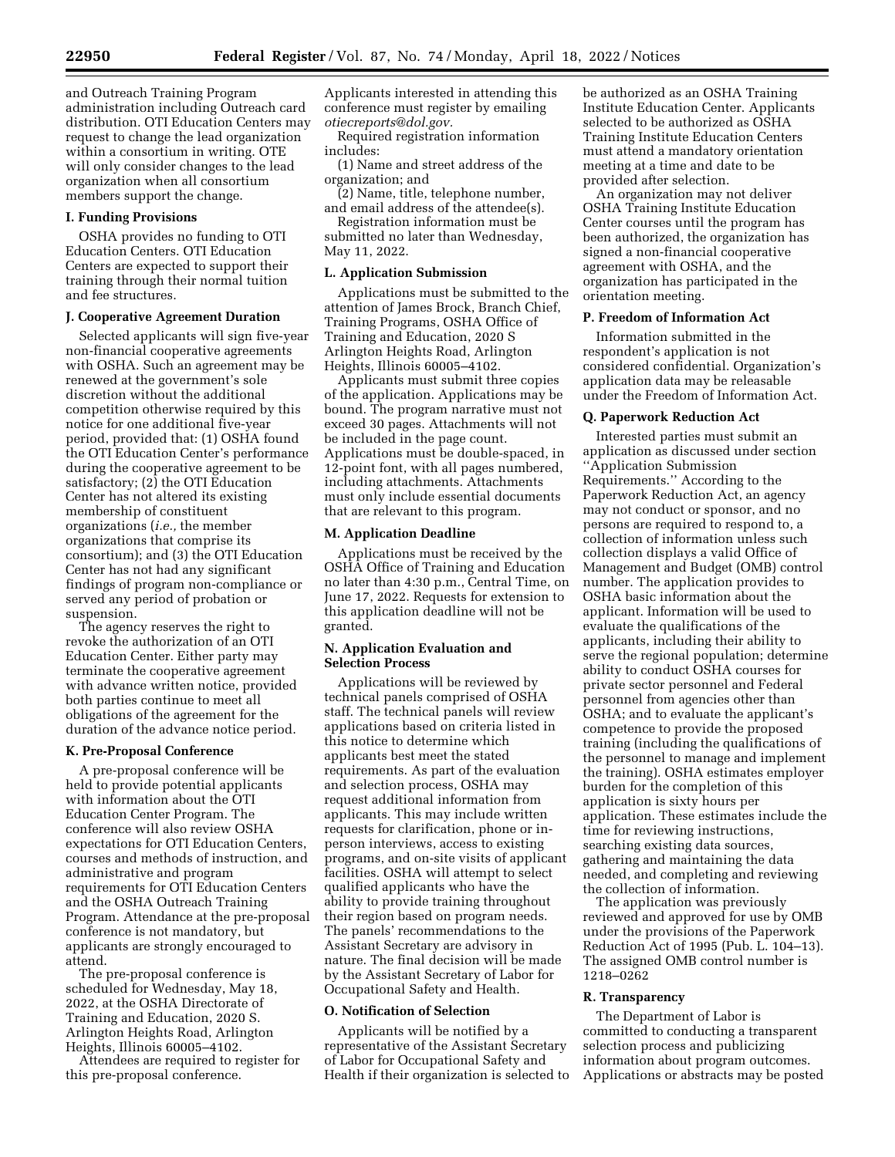and Outreach Training Program administration including Outreach card distribution. OTI Education Centers may request to change the lead organization within a consortium in writing. OTE will only consider changes to the lead organization when all consortium members support the change.

# **I. Funding Provisions**

OSHA provides no funding to OTI Education Centers. OTI Education Centers are expected to support their training through their normal tuition and fee structures.

#### **J. Cooperative Agreement Duration**

Selected applicants will sign five-year non-financial cooperative agreements with OSHA. Such an agreement may be renewed at the government's sole discretion without the additional competition otherwise required by this notice for one additional five-year period, provided that: (1) OSHA found the OTI Education Center's performance during the cooperative agreement to be satisfactory; (2) the OTI Education Center has not altered its existing membership of constituent organizations (*i.e.,* the member organizations that comprise its consortium); and (3) the OTI Education Center has not had any significant findings of program non-compliance or served any period of probation or suspension.

The agency reserves the right to revoke the authorization of an OTI Education Center. Either party may terminate the cooperative agreement with advance written notice, provided both parties continue to meet all obligations of the agreement for the duration of the advance notice period.

#### **K. Pre-Proposal Conference**

A pre-proposal conference will be held to provide potential applicants with information about the OTI Education Center Program. The conference will also review OSHA expectations for OTI Education Centers, courses and methods of instruction, and administrative and program requirements for OTI Education Centers and the OSHA Outreach Training Program. Attendance at the pre-proposal conference is not mandatory, but applicants are strongly encouraged to attend.

The pre-proposal conference is scheduled for Wednesday, May 18, 2022, at the OSHA Directorate of Training and Education, 2020 S. Arlington Heights Road, Arlington Heights, Illinois 60005–4102.

Attendees are required to register for this pre-proposal conference.

Applicants interested in attending this conference must register by emailing *[otiecreports@dol.gov.](mailto:otiecreports@dol.gov)* 

Required registration information includes:

(1) Name and street address of the organization; and

(2) Name, title, telephone number, and email address of the attendee(s).

Registration information must be submitted no later than Wednesday, May 11, 2022.

### **L. Application Submission**

Applications must be submitted to the attention of James Brock, Branch Chief, Training Programs, OSHA Office of Training and Education, 2020 S Arlington Heights Road, Arlington Heights, Illinois 60005–4102.

Applicants must submit three copies of the application. Applications may be bound. The program narrative must not exceed 30 pages. Attachments will not be included in the page count. Applications must be double-spaced, in 12-point font, with all pages numbered, including attachments. Attachments must only include essential documents that are relevant to this program.

#### **M. Application Deadline**

Applications must be received by the OSHA Office of Training and Education no later than 4:30 p.m., Central Time, on June 17, 2022. Requests for extension to this application deadline will not be granted.

# **N. Application Evaluation and Selection Process**

Applications will be reviewed by technical panels comprised of OSHA staff. The technical panels will review applications based on criteria listed in this notice to determine which applicants best meet the stated requirements. As part of the evaluation and selection process, OSHA may request additional information from applicants. This may include written requests for clarification, phone or inperson interviews, access to existing programs, and on-site visits of applicant facilities. OSHA will attempt to select qualified applicants who have the ability to provide training throughout their region based on program needs. The panels' recommendations to the Assistant Secretary are advisory in nature. The final decision will be made by the Assistant Secretary of Labor for Occupational Safety and Health.

#### **O. Notification of Selection**

Applicants will be notified by a representative of the Assistant Secretary of Labor for Occupational Safety and Health if their organization is selected to be authorized as an OSHA Training Institute Education Center. Applicants selected to be authorized as OSHA Training Institute Education Centers must attend a mandatory orientation meeting at a time and date to be provided after selection.

An organization may not deliver OSHA Training Institute Education Center courses until the program has been authorized, the organization has signed a non-financial cooperative agreement with OSHA, and the organization has participated in the orientation meeting.

# **P. Freedom of Information Act**

Information submitted in the respondent's application is not considered confidential. Organization's application data may be releasable under the Freedom of Information Act.

#### **Q. Paperwork Reduction Act**

Interested parties must submit an application as discussed under section ''Application Submission Requirements.'' According to the Paperwork Reduction Act, an agency may not conduct or sponsor, and no persons are required to respond to, a collection of information unless such collection displays a valid Office of Management and Budget (OMB) control number. The application provides to OSHA basic information about the applicant. Information will be used to evaluate the qualifications of the applicants, including their ability to serve the regional population; determine ability to conduct OSHA courses for private sector personnel and Federal personnel from agencies other than OSHA; and to evaluate the applicant's competence to provide the proposed training (including the qualifications of the personnel to manage and implement the training). OSHA estimates employer burden for the completion of this application is sixty hours per application. These estimates include the time for reviewing instructions, searching existing data sources, gathering and maintaining the data needed, and completing and reviewing the collection of information.

The application was previously reviewed and approved for use by OMB under the provisions of the Paperwork Reduction Act of 1995 (Pub. L. 104–13). The assigned OMB control number is 1218–0262

#### **R. Transparency**

The Department of Labor is committed to conducting a transparent selection process and publicizing information about program outcomes. Applications or abstracts may be posted